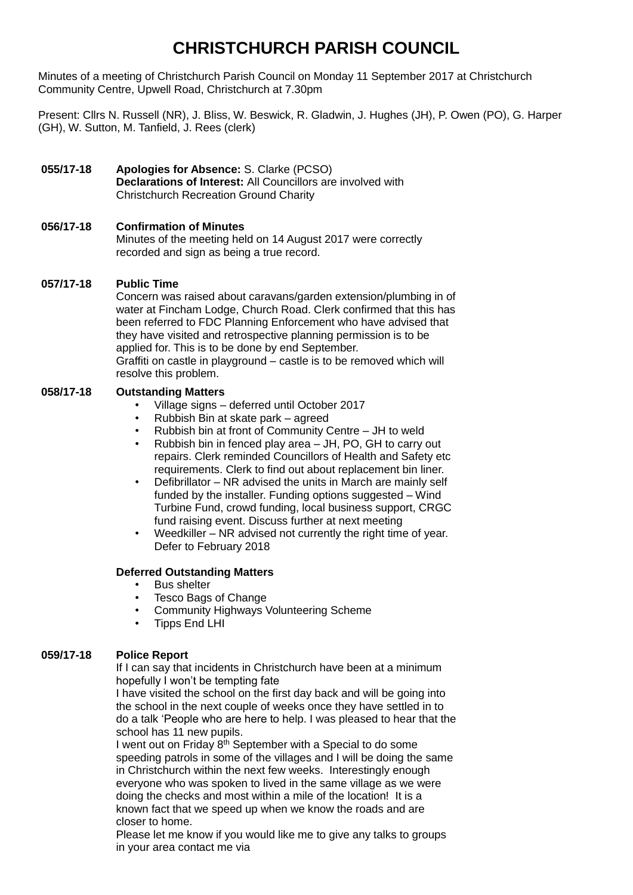# **CHRISTCHURCH PARISH COUNCIL**

Minutes of a meeting of Christchurch Parish Council on Monday 11 September 2017 at Christchurch Community Centre, Upwell Road, Christchurch at 7.30pm

Present: Cllrs N. Russell (NR), J. Bliss, W. Beswick, R. Gladwin, J. Hughes (JH), P. Owen (PO), G. Harper (GH), W. Sutton, M. Tanfield, J. Rees (clerk)

## **055/17-18 Apologies for Absence:** S. Clarke (PCSO) **Declarations of Interest:** All Councillors are involved with Christchurch Recreation Ground Charity

## **056/17-18 Confirmation of Minutes**

Minutes of the meeting held on 14 August 2017 were correctly recorded and sign as being a true record.

## **057/17-18 Public Time**

Concern was raised about caravans/garden extension/plumbing in of water at Fincham Lodge, Church Road. Clerk confirmed that this has been referred to FDC Planning Enforcement who have advised that they have visited and retrospective planning permission is to be applied for. This is to be done by end September. Graffiti on castle in playground – castle is to be removed which will resolve this problem.

### **058/17-18 Outstanding Matters**

- Village signs deferred until October 2017
- Rubbish Bin at skate park agreed
- Rubbish bin at front of Community Centre JH to weld
- Rubbish bin in fenced play area JH, PO, GH to carry out repairs. Clerk reminded Councillors of Health and Safety etc requirements. Clerk to find out about replacement bin liner.
- Defibrillator NR advised the units in March are mainly self funded by the installer. Funding options suggested – Wind Turbine Fund, crowd funding, local business support, CRGC fund raising event. Discuss further at next meeting
- Weedkiller NR advised not currently the right time of year. Defer to February 2018

### **Deferred Outstanding Matters**

- Bus shelter
- Tesco Bags of Change
- Community Highways Volunteering Scheme
- Tipps End LHI

### **059/17-18 Police Report**

If I can say that incidents in Christchurch have been at a minimum hopefully I won't be tempting fate

I have visited the school on the first day back and will be going into the school in the next couple of weeks once they have settled in to do a talk 'People who are here to help. I was pleased to hear that the school has 11 new pupils.

I went out on Friday 8<sup>th</sup> September with a Special to do some speeding patrols in some of the villages and I will be doing the same in Christchurch within the next few weeks. Interestingly enough everyone who was spoken to lived in the same village as we were doing the checks and most within a mile of the location! It is a known fact that we speed up when we know the roads and are closer to home.

Please let me know if you would like me to give any talks to groups in your area contact me via